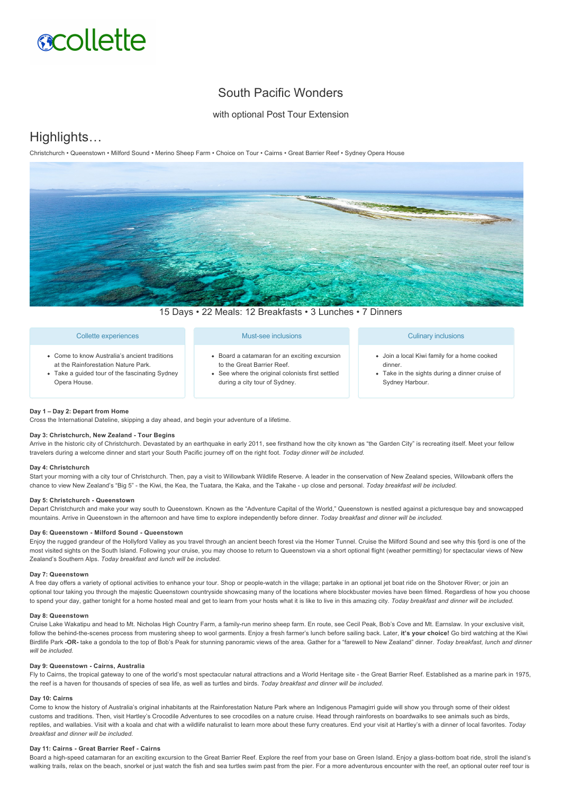# **acollette**

## South Pacific Wonders

with optional Post Tour Extension

## Highlights…

Christchurch • Queenstown • Milford Sound • Merino Sheep Farm • Choice on Tour • Cairns • Great Barrier Reef • Sydney Opera House



15 Days • 22 Meals: 12 Breakfasts • 3 Lunches • 7 Dinners

#### Collette experiences Come to know Australia's ancient traditions at the Rainforestation Nature Park. Must-see inclusions Board a catamaran for an exciting excursion to the Great Barrier Reef. Culinary inclusions Join a local Kiwi family for a home cooked dinner.

- Take a guided tour of the fascinating Sydney Opera House.
- See where the original colonists first settled during a city tour of Sydney.
- Take in the sights during a dinner cruise of Sydney Harbour.

#### **Day 1 – Day 2: Depart from Home**

Cross the International Dateline, skipping a day ahead, and begin your adventure of a lifetime.

#### **Day 3: Christchurch, New Zealand Tour Begins**

Arrive in the historic city of Christchurch. Devastated by an earthquake in early 2011, see firsthand how the city known as "the Garden City" is recreating itself. Meet your fellow travelers during a welcome dinner and start your South Pacific journey off on the right foot. *Today dinner will be included.*

#### **Day 4: Christchurch**

Start your morning with a city tour of Christchurch. Then, pay a visit to Willowbank Wildlife Reserve. A leader in the conservation of New Zealand species, Willowbank offers the chance to view New Zealand's "Big 5" - the Kiwi, the Kea, the Tuatara, the Kaka, and the Takahe - up close and personal. Today breakfast will be included.

#### **Day 5: Christchurch Queenstown**

Depart Christchurch and make your way south to Queenstown. Known as the "Adventure Capital of the World," Queenstown is nestled against a picturesque bay and snowcapped mountains. Arrive in Queenstown in the afternoon and have time to explore independently before dinner. *Today breakfast and dinner will be included.*

#### Day 6: Queenstown - Milford Sound - Queenstown

Enjoy the rugged grandeur of the Hollyford Valley as you travel through an ancient beech forest via the Homer Tunnel. Cruise the Milford Sound and see why this fjord is one of the most visited sights on the South Island. Following your cruise, you may choose to return to Queenstown via a short optional flight (weather permitting) for spectacular views of New Zealand's Southern Alps. *Today breakfast and lunch will be included.*

#### **Day 7: Queenstown**

A free day offers a variety of optional activities to enhance your tour. Shop or peoplewatch in the village; partake in an optional jet boat ride on the Shotover River; or join an optional tour taking you through the majestic Queenstown countryside showcasing many of the locations where blockbuster movies have been filmed. Regardless of how you choose to spend your day, gather tonight for a home hosted meal and get to learn from your hosts what it is like to live in this amazing city. *Today breakfast and dinner will be included.*

#### **Day 8: Queenstown**

Cruise Lake Wakatipu and head to Mt. Nicholas High Country Farm, a family-run merino sheep farm. En route, see Cecil Peak, Bob's Cove and Mt. Earnslaw. In your exclusive visit, follow the behind-the-scenes process from mustering sheep to wool garments. Enjoy a fresh farmer's lunch before sailing back. Later, it's your choice! Go bird watching at the Kiwi Birdlife Park **OR** take a gondola to the top of Bob's Peak for stunning panoramic views of the area. Gather for a "farewell to New Zealand" dinner. *Today breakfast, lunch and dinner will be included.*

#### **Day 9: Queenstown Cairns, Australia**

Fly to Cairns, the tropical gateway to one of the world's most spectacular natural attractions and a World Heritage site - the Great Barrier Reef. Established as a marine park in 1975, the reef is a haven for thousands of species of sea life, as well as turtles and birds. *Today breakfast and dinner will be included.*

#### **Day 10: Cairns**

Come to know the history of Australia's original inhabitants at the Rainforestation Nature Park where an Indigenous Pamagirri guide will show you through some of their oldest customs and traditions. Then, visit Hartley's Crocodile Adventures to see crocodiles on a nature cruise. Head through rainforests on boardwalks to see animals such as birds, reptiles, and wallabies. Visit with a koala and chat with a wildlife naturalist to learn more about these furry creatures. End your visit at Hartley's with a dinner of local favorites. *Today breakfast and dinner will be included.*

#### Day 11: Cairns - Great Barrier Reef - Cairns

Board a high-speed catamaran for an exciting excursion to the Great Barrier Reef. Explore the reef from your base on Green Island. Enjoy a glass-bottom boat ride, stroll the island's walking trails, relax on the beach, snorkel or just watch the fish and sea turtles swim past from the pier. For a more adventurous encounter with the reef, an optional outer reef tour is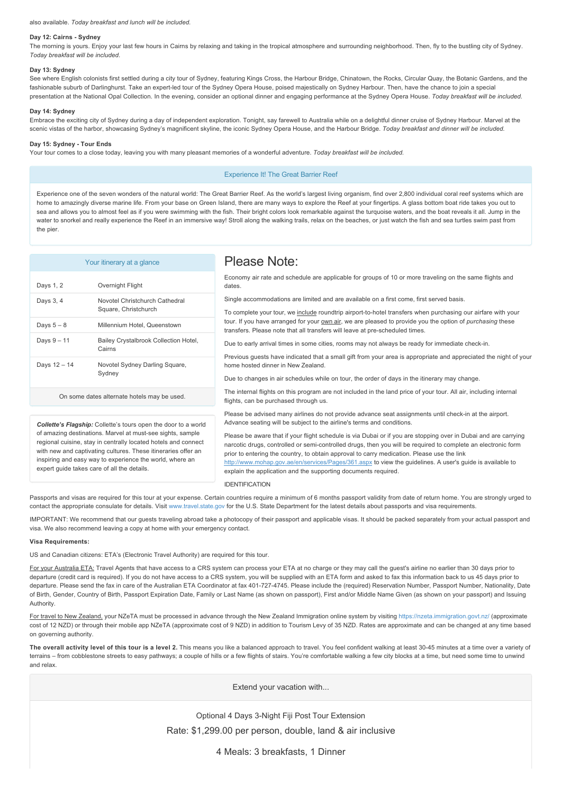#### also available. *Today breakfast and lunch will be included.*

#### Day 12: Cairns - Sydney

The morning is yours. Enjoy your last few hours in Cairns by relaxing and taking in the tropical atmosphere and surrounding neighborhood. Then, fly to the bustling city of Sydney. *Today breakfast will be included.*

#### **Day 13: Sydney**

See where English colonists first settled during a city tour of Sydney, featuring Kings Cross, the Harbour Bridge, Chinatown, the Rocks, Circular Quay, the Botanic Gardens, and the fashionable suburb of Darlinghurst. Take an expert-led tour of the Sydney Opera House, poised majestically on Sydney Harbour. Then, have the chance to join a special presentation at the National Opal Collection. In the evening, consider an optional dinner and engaging performance at the Sydney Opera House. *Today breakfast will be included.*

#### **Day 14: Sydney**

Embrace the exciting city of Sydney during a day of independent exploration. Tonight, say farewell to Australia while on a delightful dinner cruise of Sydney Harbour. Marvel at the scenic vistas of the harbor, showcasing Sydney's magnificent skyline, the iconic Sydney Opera House, and the Harbour Bridge. *Today breakfast and dinner will be included.*

#### **Day 15: Sydney Tour Ends**

Your tour comes to a close today, leaving you with many pleasant memories of a wonderful adventure. *Today breakfast will be included.*

#### Experience It! The Great Barrier Reef

Experience one of the seven wonders of the natural world: The Great Barrier Reef. As the world's largest living organism, find over 2,800 individual coral reef systems which are home to amazingly diverse marine life. From your base on Green Island, there are many ways to explore the Reef at your fingertips. A glass bottom boat ride takes you out to sea and allows you to almost feel as if you were swimming with the fish. Their bright colors look remarkable against the turquoise waters, and the boat reveals it all. Jump in the water to snorkel and really experience the Reef in an immersive way! Stroll along the walking trails, relax on the beaches, or just watch the fish and sea turtles swim past from the pier.

| Your itinerary at a glance                                                                                                                                                                                                                                                                                                                                                        |                                                        | Please Note:                                                                                                                                                                                                                                                                                                                                                                                                                                                                                                                                                                                                                                                               |
|-----------------------------------------------------------------------------------------------------------------------------------------------------------------------------------------------------------------------------------------------------------------------------------------------------------------------------------------------------------------------------------|--------------------------------------------------------|----------------------------------------------------------------------------------------------------------------------------------------------------------------------------------------------------------------------------------------------------------------------------------------------------------------------------------------------------------------------------------------------------------------------------------------------------------------------------------------------------------------------------------------------------------------------------------------------------------------------------------------------------------------------------|
| Days 1, 2                                                                                                                                                                                                                                                                                                                                                                         | Overnight Flight                                       | Economy air rate and schedule are applicable for groups of 10 or more traveling on the same flights and<br>dates.                                                                                                                                                                                                                                                                                                                                                                                                                                                                                                                                                          |
| Days 3, 4                                                                                                                                                                                                                                                                                                                                                                         | Novotel Christchurch Cathedral<br>Square, Christchurch | Single accommodations are limited and are available on a first come, first served basis.<br>To complete your tour, we include roundtrip airport-to-hotel transfers when purchasing our airfare with your<br>tour. If you have arranged for your own air, we are pleased to provide you the option of <i>purchasing</i> these<br>transfers. Please note that all transfers will leave at pre-scheduled times.<br>Due to early arrival times in some cities, rooms may not always be ready for immediate check-in.<br>Previous guests have indicated that a small gift from your area is appropriate and appreciated the night of your<br>home hosted dinner in New Zealand. |
| Days $5-8$                                                                                                                                                                                                                                                                                                                                                                        | Millennium Hotel, Queenstown                           |                                                                                                                                                                                                                                                                                                                                                                                                                                                                                                                                                                                                                                                                            |
| Days $9 - 11$                                                                                                                                                                                                                                                                                                                                                                     | Bailey Crystalbrook Collection Hotel,<br>Cairns        |                                                                                                                                                                                                                                                                                                                                                                                                                                                                                                                                                                                                                                                                            |
| Days 12 - 14                                                                                                                                                                                                                                                                                                                                                                      | Novotel Sydney Darling Square,<br>Sydney               |                                                                                                                                                                                                                                                                                                                                                                                                                                                                                                                                                                                                                                                                            |
|                                                                                                                                                                                                                                                                                                                                                                                   |                                                        | Due to changes in air schedules while on tour, the order of days in the itinerary may change.                                                                                                                                                                                                                                                                                                                                                                                                                                                                                                                                                                              |
| On some dates alternate hotels may be used.                                                                                                                                                                                                                                                                                                                                       |                                                        | The internal flights on this program are not included in the land price of your tour. All air, including internal<br>flights, can be purchased through us.                                                                                                                                                                                                                                                                                                                                                                                                                                                                                                                 |
| <b>Collette's Flagship:</b> Collette's tours open the door to a world<br>of amazing destinations. Marvel at must-see sights, sample<br>regional cuisine, stay in centrally located hotels and connect<br>with new and captivating cultures. These itineraries offer an<br>inspiring and easy way to experience the world, where an<br>expert quide takes care of all the details. |                                                        | Please be advised many airlines do not provide advance seat assignments until check-in at the airport.<br>Advance seating will be subject to the airline's terms and conditions.<br>Please be aware that if your flight schedule is via Dubai or if you are stopping over in Dubai and are carrying<br>narcotic drugs, controlled or semi-controlled drugs, then you will be required to complete an electronic form<br>prior to entering the country, to obtain approval to carry medication. Please use the link                                                                                                                                                         |
|                                                                                                                                                                                                                                                                                                                                                                                   |                                                        | http://www.mohap.gov.ae/en/services/Pages/361.aspx to view the guidelines. A user's guide is available to<br>explain the application and the supporting documents required.<br><b>IDENTIFICATION</b>                                                                                                                                                                                                                                                                                                                                                                                                                                                                       |

Passports and visas are required for this tour at your expense. Certain countries require a minimum of 6 months passport validity from date of return home. You are strongly urged to contact the appropriate consulate for details. Visit [www.travel.state.gov](https://itinerary.collette.com/Documents/Flyer/14133/USD/www.travel.state.gov) for the U.S. State Department for the latest details about passports and visa requirements.

IMPORTANT: We recommend that our guests traveling abroad take a photocopy of their passport and applicable visas. It should be packed separately from your actual passport and visa. We also recommend leaving a copy at home with your emergency contact.

#### **Visa Requirements:**

US and Canadian citizens: ETA's (Electronic Travel Authority) are required for this tour.

For your Australia ETA: Travel Agents that have access to a CRS system can process your ETA at no charge or they may call the guest's airline no earlier than 30 days prior to departure (credit card is required). If you do not have access to a CRS system, you will be supplied with an ETA form and asked to fax this information back to us 45 days prior to departure. Please send the fax in care of the Australian ETA Coordinator at fax 401-727-4745. Please include the (required) Reservation Number, Passport Number, Nationality, Date of Birth, Gender, Country of Birth, Passport Expiration Date, Family or Last Name (as shown on passport), First and/or Middle Name Given (as shown on your passport) and Issuing Authority.

For travel to New Zealand, your NZeTA must be processed in advance through the New Zealand Immigration online system by visiting <https://nzeta.immigration.govt.nz/> (approximate cost of 12 NZD) or through their mobile app NZeTA (approximate cost of 9 NZD) in addition to Tourism Levy of 35 NZD. Rates are approximate and can be changed at any time based on governing authority.

The overall activity level of this tour is a level 2. This means you like a balanced approach to travel. You feel confident walking at least 30-45 minutes at a time over a variety of terrains – from cobblestone streets to easy pathways; a couple of hills or a few flights of stairs. You're comfortable walking a few city blocks at a time, but need some time to unwind and relax.

Extend your vacation with...

Optional 4 Days 3-Night Fiji Post Tour Extension Rate: \$1,299.00 per person, double, land & air inclusive

4 Meals: 3 breakfasts, 1 Dinner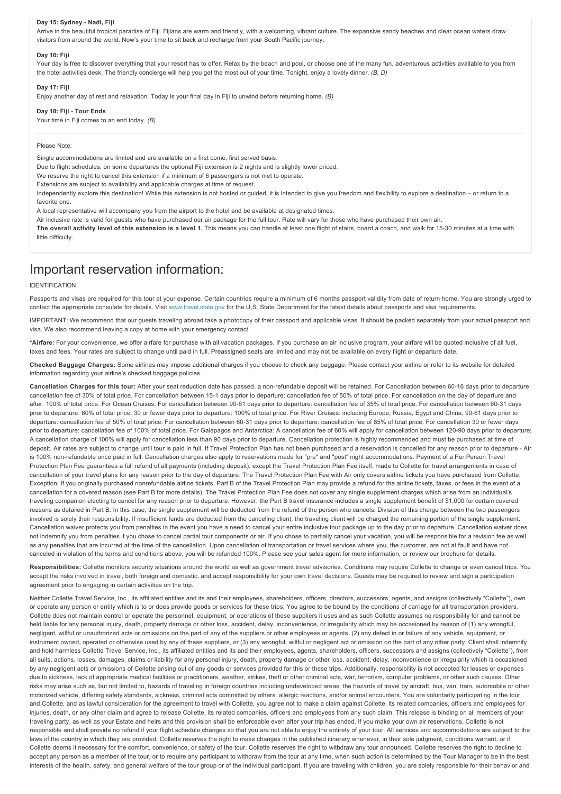#### Day 15: Sydney - Nadi, Fiji

Arrive in the beautiful tropical paradise of Fiji. Fijians are warm and friendly, with a welcoming, vibrant culture. The expansive sandy beaches and clear ocean waters draw visitors from around the world. Now's your time to sit back and recharge from your South Pacific journey.

### **Day 16: Fiji**

Your day is free to discover everything that your resort has to offer. Relax by the beach and pool, or choose one of the many fun, adventurous activities available to you from the hotel activities desk. The friendly concierge will help you get the most out of your time. Tonight, enjoy a lovely dinner. *(B, D)*

#### **Day 17: Fiji**

Enjoy another day of rest and relaxation. Today is your final day in Fiji to unwind before returning home. *(B)*

#### Day 18: Fiji - Tour Ends

Your time in Fiji comes to an end today. *(B)*

#### Please Note:

Single accommodations are limited and are available on a first come, first served basis.

Due to flight schedules, on some departures the optional Fiji extension is 2 nights and is slightly lower priced.

We reserve the right to cancel this extension if a minimum of 6 passengers is not met to operate.

Extensions are subject to availability and applicable charges at time of request.

Independently explore this destination! While this extension is not hosted or guided, it is intended to give you freedom and flexibility to explore a destination – or return to a favorite one.

A local representative will accompany you from the airport to the hotel and be available at designated times.

Air inclusive rate is valid for guests who have purchased our air package for the full tour. Rate will vary for those who have purchased their own air.

**The overall activity level of this extension is a level 1.** This means you can handle at least one flight of stairs, board a coach, and walk for 15-30 minutes at a time with little difficulty.

## Important reservation information:

#### IDENTIFICATION

Passports and visas are required for this tour at your expense. Certain countries require a minimum of 6 months passport validity from date of return home. You are strongly urged to contact the appropriate consulate for details. Visit [www.travel.state.gov](https://itinerary.collette.com/Documents/Flyer/14133/USD/www.travel.state.gov) for the U.S. State Department for the latest details about passports and visa requirements.

IMPORTANT: We recommend that our guests traveling abroad take a photocopy of their passport and applicable visas. It should be packed separately from your actual passport and visa. We also recommend leaving a copy at home with your emergency contact.

**\*Airfare:** For your convenience, we offer airfare for purchase with all vacation packages. If you purchase an air inclusive program, your airfare will be quoted inclusive of all fuel, taxes and fees. Your rates are subject to change until paid in full. Preassigned seats are limited and may not be available on every flight or departure date.

**Checked Baggage Charges:** Some airlines may impose additional charges if you choose to check any baggage. Please contact your airline or refer to its website for detailed information regarding your airline's checked baggage policies.

Cancellation Charges for this tour: After your seat reduction date has passed, a non-refundable deposit will be retained. For Cancellation between 60-16 days prior to departure: cancellation fee of 30% of total price. For cancellation between 15-1 days prior to departure: cancellation fee of 50% of total price. For cancellation on the day of departure and after: 100% of total price. For Ocean Cruises: For cancellation between 90-61 days prior to departure: cancellation fee of 35% of total price. For cancellation between 60-31 days prior to departure: 60% of total price. 30 or fewer days prior to departure: 100% of total price. For River Cruises: including Europe, Russia, Egypt and China, 90-61 days prior to departure: cancellation fee of 50% of total price. For cancellation between 60-31 days prior to departure: cancellation fee of 85% of total price. For cancellation 30 or fewer days prior to departure: cancellation fee of 100% of total price. For Galapagos and Antarctica: A cancellation fee of 60% will apply for cancellation between 120-90 days prior to departure; A cancellation charge of 100% will apply for cancellation less than 90 days prior to departure. Cancellation protection is highly recommended and must be purchased at time of deposit. Air rates are subject to change until tour is paid in full. If Travel Protection Plan has not been purchased and a reservation is cancelled for any reason prior to departure - Air is 100% non-refundable once paid in full. Cancellation charges also apply to reservations made for "pre" and "post" night accommodations. Payment of a Per Person Travel Protection Plan Fee guarantees a full refund of all payments (including deposit), except the Travel Protection Plan Fee itself, made to Collette for travel arrangements in case of cancellation of your travel plans for any reason prior to the day of departure. The Travel Protection Plan Fee with Air only covers airline tickets you have purchased from Collette. Exception: If you originally purchased nonrefundable airline tickets, Part B of the Travel Protection Plan may provide a refund for the airline tickets, taxes, or fees in the event of a cancellation for a covered reason (see Part B for more details). The Travel Protection Plan Fee does not cover any single supplement charges which arise from an individual's traveling companion electing to cancel for any reason prior to departure. However, the Part B travel insurance includes a single supplement benefit of \$1,000 for certain covered reasons as detailed in Part B. In this case, the single supplement will be deducted from the refund of the person who cancels. Division of this charge between the two passengers involved is solely their responsibility. If insufficient funds are deducted from the canceling client, the traveling client will be charged the remaining portion of the single supplement. Cancellation waiver protects you from penalties in the event you have a need to cancel your entire inclusive tour package up to the day prior to departure. Cancellation waiver does not indemnify you from penalties if you chose to cancel partial tour components or air. If you chose to partially cancel your vacation, you will be responsible for a revision fee as well as any penalties that are incurred at the time of the cancellation. Upon cancellation of transportation or travel services where you, the customer, are not at fault and have not canceled in violation of the terms and conditions above, you will be refunded 100%. Please see your sales agent for more information, or review our brochure for details.

Responsibilities: Collette monitors security situations around the world as well as government travel advisories. Conditions may require Collette to change or even cancel trips. You accept the risks involved in travel, both foreign and domestic, and accept responsibility for your own travel decisions. Guests may be required to review and sign a participation agreement prior to engaging in certain activities on the trip.

Neither Collette Travel Service, Inc., its affiliated entities and its and their employees, shareholders, officers, directors, successors, agents, and assigns (collectively "Collette"), own or operate any person or entity which is to or does provide goods or services for these trips. You agree to be bound by the conditions of carriage for all transportation providers. Collette does not maintain control or operate the personnel, equipment, or operations of these suppliers it uses and as such Collette assumes no responsibility for and cannot be held liable for any personal injury, death, property damage or other loss, accident, delay, inconvenience, or irregularity which may be occasioned by reason of (1) any wrongful, negligent, willful or unauthorized acts or omissions on the part of any of the suppliers or other employees or agents, (2) any defect in or failure of any vehicle, equipment, or instrument owned, operated or otherwise used by any of these suppliers, or (3) any wrongful, willful or negligent act or omission on the part of any other party. Client shall indemnify and hold harmless Collette Travel Service, Inc., its affiliated entities and its and their employees, agents, shareholders, officers, successors and assigns (collectively "Collette"), from all suits, actions, losses, damages, claims or liability for any personal injury, death, property damage or other loss, accident, delay, inconvenience or irregularity which is occasioned by any negligent acts or omissions of Collette arising out of any goods or services provided for this or these trips. Additionally, responsibility is not accepted for losses or expenses due to sickness, lack of appropriate medical facilities or practitioners, weather, strikes, theft or other criminal acts, war, terrorism, computer problems, or other such causes. Other risks may arise such as, but not limited to, hazards of traveling in foreign countries including undeveloped areas, the hazards of travel by aircraft, bus, van, train, automobile or other motorized vehicle, differing safety standards, sickness, criminal acts committed by others, allergic reactions, and/or animal encounters. You are voluntarily participating in the tour and Collette, and as lawful consideration for the agreement to travel with Collette, you agree not to make a claim against Collette, its related companies, officers and employees for injuries, death, or any other claim and agree to release Collette, its related companies, officers and employees from any such claim. This release is binding on all members of your traveling party, as well as your Estate and heirs and this provision shall be enforceable even after your trip has ended. If you make your own air reservations, Collette is not responsible and shall provide no refund if your flight schedule changes so that you are not able to enjoy the entirety of your tour. All services and accommodations are subject to the laws of the country in which they are provided. Collette reserves the right to make changes in the published itinerary whenever, in their sole judgment, conditions warrant, or if Collette deems it necessary for the comfort, convenience, or safety of the tour. Collette reserves the right to withdraw any tour announced. Collette reserves the right to decline to accept any person as a member of the tour, or to require any participant to withdraw from the tour at any time, when such action is determined by the Tour Manager to be in the best interests of the health, safety, and general welfare of the tour group or of the individual participant. If you are traveling with children, you are solely responsible for their behavior and